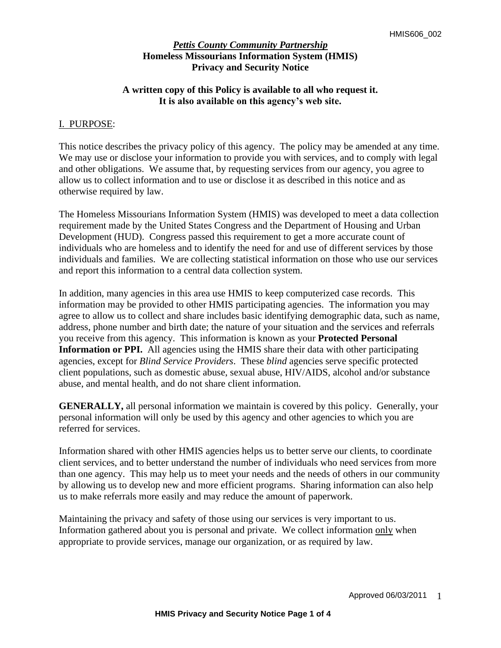## **A written copy of this Policy is available to all who request it. It is also available on this agency's web site.**

### I. PURPOSE:

This notice describes the privacy policy of this agency. The policy may be amended at any time. We may use or disclose your information to provide you with services, and to comply with legal and other obligations. We assume that, by requesting services from our agency, you agree to allow us to collect information and to use or disclose it as described in this notice and as otherwise required by law.

The Homeless Missourians Information System (HMIS) was developed to meet a data collection requirement made by the United States Congress and the Department of Housing and Urban Development (HUD). Congress passed this requirement to get a more accurate count of individuals who are homeless and to identify the need for and use of different services by those individuals and families. We are collecting statistical information on those who use our services and report this information to a central data collection system.

In addition, many agencies in this area use HMIS to keep computerized case records. This information may be provided to other HMIS participating agencies. The information you may agree to allow us to collect and share includes basic identifying demographic data, such as name, address, phone number and birth date; the nature of your situation and the services and referrals you receive from this agency. This information is known as your **Protected Personal Information or PPI.** All agencies using the HMIS share their data with other participating agencies, except for *Blind Service Providers*. These *blind* agencies serve specific protected client populations, such as domestic abuse, sexual abuse, HIV/AIDS, alcohol and/or substance abuse, and mental health, and do not share client information.

**GENERALLY,** all personal information we maintain is covered by this policy. Generally, your personal information will only be used by this agency and other agencies to which you are referred for services.

Information shared with other HMIS agencies helps us to better serve our clients, to coordinate client services, and to better understand the number of individuals who need services from more than one agency. This may help us to meet your needs and the needs of others in our community by allowing us to develop new and more efficient programs. Sharing information can also help us to make referrals more easily and may reduce the amount of paperwork.

Maintaining the privacy and safety of those using our services is very important to us. Information gathered about you is personal and private. We collect information only when appropriate to provide services, manage our organization, or as required by law.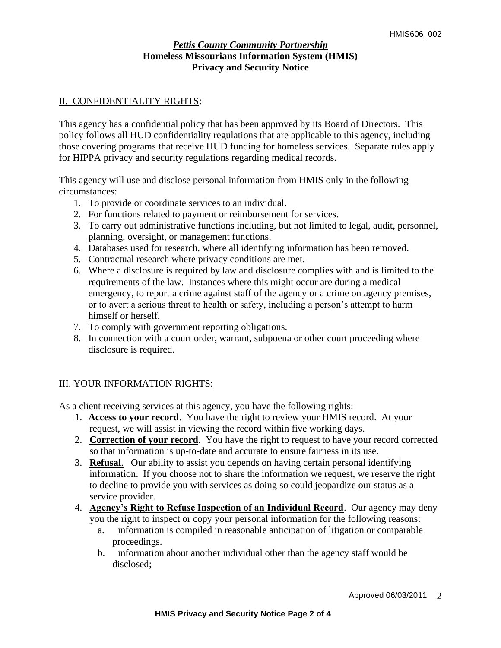## II. CONFIDENTIALITY RIGHTS:

This agency has a confidential policy that has been approved by its Board of Directors. This policy follows all HUD confidentiality regulations that are applicable to this agency, including those covering programs that receive HUD funding for homeless services. Separate rules apply for HIPPA privacy and security regulations regarding medical records.

This agency will use and disclose personal information from HMIS only in the following circumstances:

- 1. To provide or coordinate services to an individual.
- 2. For functions related to payment or reimbursement for services.
- 3. To carry out administrative functions including, but not limited to legal, audit, personnel, planning, oversight, or management functions.
- 4. Databases used for research, where all identifying information has been removed.
- 5. Contractual research where privacy conditions are met.
- 6. Where a disclosure is required by law and disclosure complies with and is limited to the requirements of the law. Instances where this might occur are during a medical emergency, to report a crime against staff of the agency or a crime on agency premises, or to avert a serious threat to health or safety, including a person's attempt to harm himself or herself.
- 7. To comply with government reporting obligations.
- 8. In connection with a court order, warrant, subpoena or other court proceeding where disclosure is required.

# III. YOUR INFORMATION RIGHTS:

As a client receiving services at this agency, you have the following rights:

- 1. **Access to your record**. You have the right to review your HMIS record. At your request, we will assist in viewing the record within five working days.
- 2. **Correction of your record**. You have the right to request to have your record corrected so that information is up-to-date and accurate to ensure fairness in its use.
- 3. **Refusal**. Our ability to assist you depends on having certain personal identifying information. If you choose not to share the information we request, we reserve the right to decline to provide you with services as doing so could jeopardize our status as a service provider.
- 4. **Agency's Right to Refuse Inspection of an Individual Record**. Our agency may deny you the right to inspect or copy your personal information for the following reasons:
	- a. information is compiled in reasonable anticipation of litigation or comparable proceedings.
	- b. information about another individual other than the agency staff would be disclosed;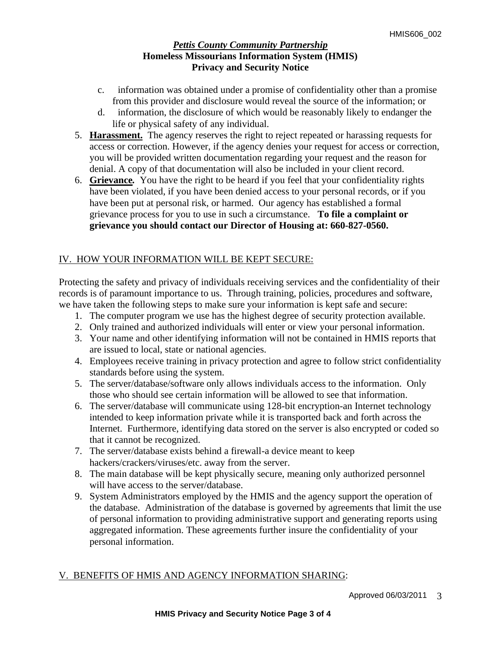- c. information was obtained under a promise of confidentiality other than a promise from this provider and disclosure would reveal the source of the information; or
- d. information, the disclosure of which would be reasonably likely to endanger the life or physical safety of any individual.
- 5. **Harassment.**The agency reserves the right to reject repeated or harassing requests for access or correction. However, if the agency denies your request for access or correction, you will be provided written documentation regarding your request and the reason for denial. A copy of that documentation will also be included in your client record.
- 6. **Grievance***.* You have the right to be heard if you feel that your confidentiality rights have been violated, if you have been denied access to your personal records, or if you have been put at personal risk, or harmed. Our agency has established a formal grievance process for you to use in such a circumstance.**To file a complaint or grievance you should contact our Director of Housing at: 660-827-0560.**

# IV. HOW YOUR INFORMATION WILL BE KEPT SECURE:

Protecting the safety and privacy of individuals receiving services and the confidentiality of their records is of paramount importance to us. Through training, policies, procedures and software, we have taken the following steps to make sure your information is kept safe and secure:

- 1. The computer program we use has the highest degree of security protection available.
- 2. Only trained and authorized individuals will enter or view your personal information.
- 3. Your name and other identifying information will not be contained in HMIS reports that are issued to local, state or national agencies.
- 4. Employees receive training in privacy protection and agree to follow strict confidentiality standards before using the system.
- 5. The server/database/software only allows individuals access to the information. Only those who should see certain information will be allowed to see that information.
- 6. The server/database will communicate using 128-bit encryption-an Internet technology intended to keep information private while it is transported back and forth across the Internet. Furthermore, identifying data stored on the server is also encrypted or coded so that it cannot be recognized.
- 7. The server/database exists behind a firewall-a device meant to keep hackers/crackers/viruses/etc. away from the server.
- 8. The main database will be kept physically secure, meaning only authorized personnel will have access to the server/database.
- 9. System Administrators employed by the HMIS and the agency support the operation of the database. Administration of the database is governed by agreements that limit the use of personal information to providing administrative support and generating reports using aggregated information. These agreements further insure the confidentiality of your personal information.

# V. BENEFITS OF HMIS AND AGENCY INFORMATION SHARING: